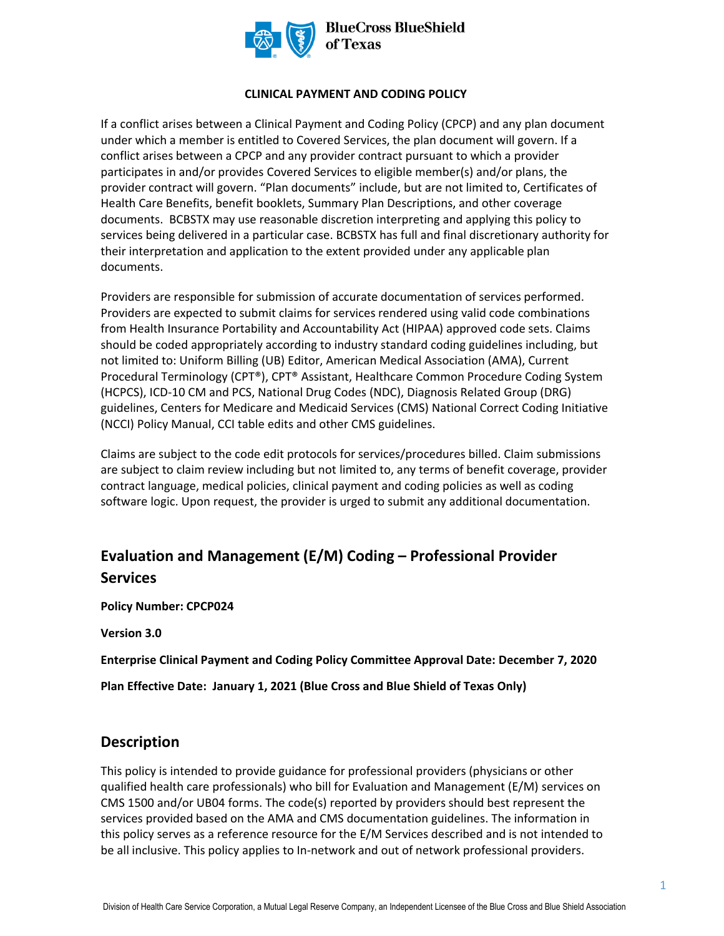

#### **CLINICAL PAYMENT AND CODING POLICY**

If a conflict arises between a Clinical Payment and Coding Policy (CPCP) and any plan document under which a member is entitled to Covered Services, the plan document will govern. If a conflict arises between a CPCP and any provider contract pursuant to which a provider participates in and/or provides Covered Services to eligible member(s) and/or plans, the provider contract will govern. "Plan documents" include, but are not limited to, Certificates of Health Care Benefits, benefit booklets, Summary Plan Descriptions, and other coverage documents. BCBSTX may use reasonable discretion interpreting and applying this policy to services being delivered in a particular case. BCBSTX has full and final discretionary authority for their interpretation and application to the extent provided under any applicable plan documents.

Providers are responsible for submission of accurate documentation of services performed. Providers are expected to submit claims for services rendered using valid code combinations from Health Insurance Portability and Accountability Act (HIPAA) approved code sets. Claims should be coded appropriately according to industry standard coding guidelines including, but not limited to: Uniform Billing (UB) Editor, American Medical Association (AMA), Current Procedural Terminology (CPT®), CPT® Assistant, Healthcare Common Procedure Coding System (HCPCS), ICD-10 CM and PCS, National Drug Codes (NDC), Diagnosis Related Group (DRG) guidelines, Centers for Medicare and Medicaid Services (CMS) National Correct Coding Initiative (NCCI) Policy Manual, CCI table edits and other CMS guidelines.

Claims are subject to the code edit protocols for services/procedures billed. Claim submissions are subject to claim review including but not limited to, any terms of benefit coverage, provider contract language, medical policies, clinical payment and coding policies as well as coding software logic. Upon request, the provider is urged to submit any additional documentation.

# **Evaluation and Management (E/M) Coding – Professional Provider Services**

**Policy Number: CPCP024** 

**Version 3.0** 

**Enterprise Clinical Payment and Coding Policy Committee Approval Date: December 7, 2020** 

**Plan Effective Date: January 1, 2021 (Blue Cross and Blue Shield of Texas Only)**

## **Description**

This policy is intended to provide guidance for professional providers (physicians or other qualified health care professionals) who bill for Evaluation and Management (E/M) services on CMS 1500 and/or UB04 forms. The code(s) reported by providers should best represent the services provided based on the AMA and CMS documentation guidelines. The information in this policy serves as a reference resource for the E/M Services described and is not intended to be all inclusive. This policy applies to In-network and out of network professional providers.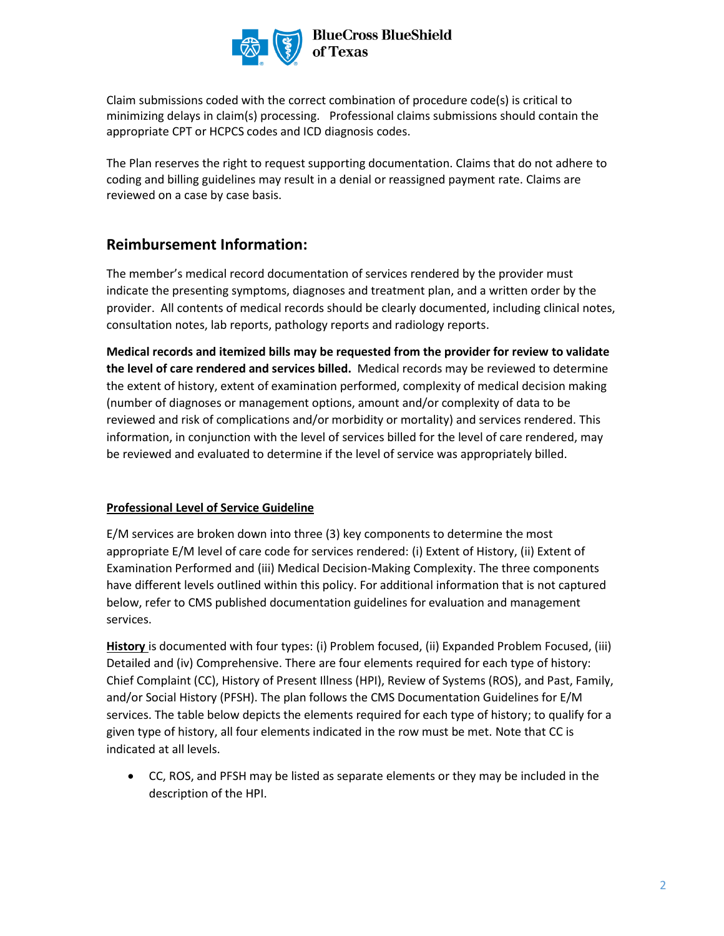

Claim submissions coded with the correct combination of procedure code(s) is critical to minimizing delays in claim(s) processing. Professional claims submissions should contain the appropriate CPT or HCPCS codes and ICD diagnosis codes.

The Plan reserves the right to request supporting documentation. Claims that do not adhere to coding and billing guidelines may result in a denial or reassigned payment rate. Claims are reviewed on a case by case basis.

# **Reimbursement Information:**

The member's medical record documentation of services rendered by the provider must indicate the presenting symptoms, diagnoses and treatment plan, and a written order by the provider. All contents of medical records should be clearly documented, including clinical notes, consultation notes, lab reports, pathology reports and radiology reports.

**Medical records and itemized bills may be requested from the provider for review to validate the level of care rendered and services billed.** Medical records may be reviewed to determine the extent of history, extent of examination performed, complexity of medical decision making (number of diagnoses or management options, amount and/or complexity of data to be reviewed and risk of complications and/or morbidity or mortality) and services rendered. This information, in conjunction with the level of services billed for the level of care rendered, may be reviewed and evaluated to determine if the level of service was appropriately billed.

#### **Professional Level of Service Guideline**

E/M services are broken down into three (3) key components to determine the most appropriate E/M level of care code for services rendered: (i) Extent of History, (ii) Extent of Examination Performed and (iii) Medical Decision-Making Complexity. The three components have different levels outlined within this policy. For additional information that is not captured below, refer to CMS published documentation guidelines for evaluation and management services.

**History** is documented with four types: (i) Problem focused, (ii) Expanded Problem Focused, (iii) Detailed and (iv) Comprehensive. There are four elements required for each type of history: Chief Complaint (CC), History of Present Illness (HPI), Review of Systems (ROS), and Past, Family, and/or Social History (PFSH). The plan follows the CMS Documentation Guidelines for E/M services. The table below depicts the elements required for each type of history; to qualify for a given type of history, all four elements indicated in the row must be met. Note that CC is indicated at all levels.

• CC, ROS, and PFSH may be listed as separate elements or they may be included in the description of the HPI.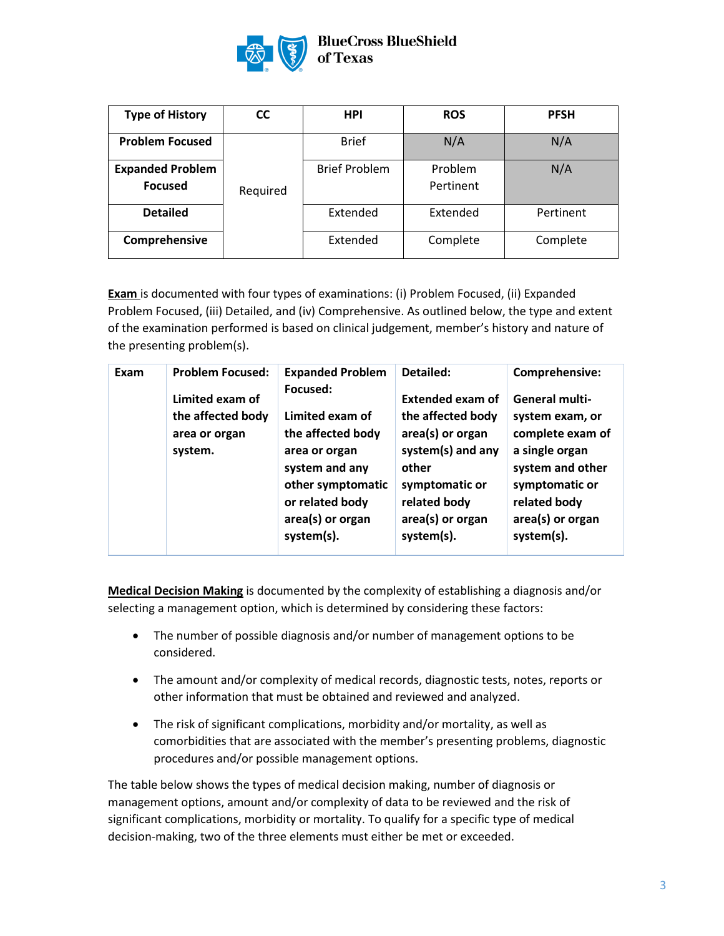

#### **BlueCross BlueShield** of Texas

| <b>Type of History</b>                    | CC       | <b>HPI</b>           | <b>ROS</b>           | <b>PFSH</b> |
|-------------------------------------------|----------|----------------------|----------------------|-------------|
| <b>Problem Focused</b>                    |          | <b>Brief</b>         | N/A                  | N/A         |
| <b>Expanded Problem</b><br><b>Focused</b> | Required | <b>Brief Problem</b> | Problem<br>Pertinent | N/A         |
| <b>Detailed</b>                           |          | Extended             | Extended             | Pertinent   |
| Comprehensive                             |          | Extended             | Complete             | Complete    |

**Exam** is documented with four types of examinations: (i) Problem Focused, (ii) Expanded Problem Focused, (iii) Detailed, and (iv) Comprehensive. As outlined below, the type and extent of the examination performed is based on clinical judgement, member's history and nature of the presenting problem(s).

| Exam | <b>Problem Focused:</b>                                          | <b>Expanded Problem</b>                                                                                                                                       | Detailed:                                                                                                                                                          | Comprehensive:                                                                                                                                                         |
|------|------------------------------------------------------------------|---------------------------------------------------------------------------------------------------------------------------------------------------------------|--------------------------------------------------------------------------------------------------------------------------------------------------------------------|------------------------------------------------------------------------------------------------------------------------------------------------------------------------|
|      | Limited exam of<br>the affected body<br>area or organ<br>system. | Focused:<br>Limited exam of<br>the affected body<br>area or organ<br>system and any<br>other symptomatic<br>or related body<br>area(s) or organ<br>system(s). | <b>Extended exam of</b><br>the affected body<br>area(s) or organ<br>system(s) and any<br>other<br>symptomatic or<br>related body<br>area(s) or organ<br>system(s). | <b>General multi-</b><br>system exam, or<br>complete exam of<br>a single organ<br>system and other<br>symptomatic or<br>related body<br>area(s) or organ<br>system(s). |
|      |                                                                  |                                                                                                                                                               |                                                                                                                                                                    |                                                                                                                                                                        |

**Medical Decision Making** is documented by the complexity of establishing a diagnosis and/or selecting a management option, which is determined by considering these factors:

- The number of possible diagnosis and/or number of management options to be considered.
- The amount and/or complexity of medical records, diagnostic tests, notes, reports or other information that must be obtained and reviewed and analyzed.
- The risk of significant complications, morbidity and/or mortality, as well as comorbidities that are associated with the member's presenting problems, diagnostic procedures and/or possible management options.

The table below shows the types of medical decision making, number of diagnosis or management options, amount and/or complexity of data to be reviewed and the risk of significant complications, morbidity or mortality. To qualify for a specific type of medical decision-making, two of the three elements must either be met or exceeded.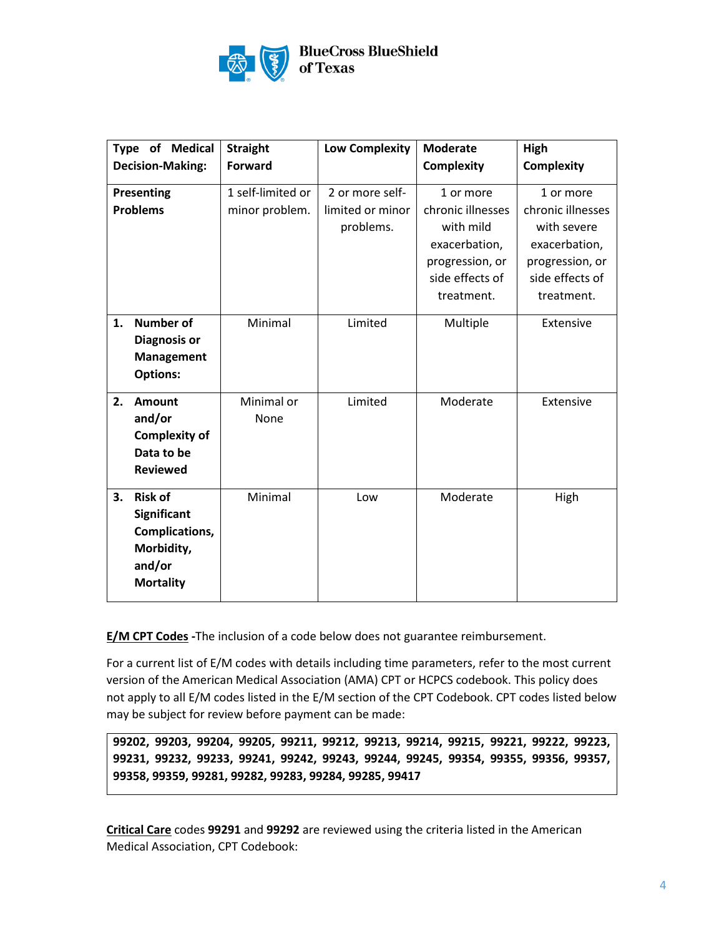

|    | <b>Type of Medical</b><br><b>Decision-Making:</b> | <b>Straight</b><br><b>Forward</b> | <b>Low Complexity</b> | <b>Moderate</b><br><b>Complexity</b> | High<br><b>Complexity</b> |
|----|---------------------------------------------------|-----------------------------------|-----------------------|--------------------------------------|---------------------------|
|    |                                                   |                                   |                       |                                      |                           |
|    | Presenting                                        | 1 self-limited or                 | 2 or more self-       | 1 or more                            | 1 or more                 |
|    | <b>Problems</b>                                   | minor problem.                    | limited or minor      | chronic illnesses                    | chronic illnesses         |
|    |                                                   |                                   | problems.             | with mild                            | with severe               |
|    |                                                   |                                   |                       | exacerbation,                        | exacerbation,             |
|    |                                                   |                                   |                       | progression, or                      | progression, or           |
|    |                                                   |                                   |                       | side effects of                      | side effects of           |
|    |                                                   |                                   |                       | treatment.                           | treatment.                |
| 1. | <b>Number of</b>                                  | Minimal                           | Limited               | Multiple                             | Extensive                 |
|    | <b>Diagnosis or</b>                               |                                   |                       |                                      |                           |
|    | Management                                        |                                   |                       |                                      |                           |
|    | <b>Options:</b>                                   |                                   |                       |                                      |                           |
| 2. | <b>Amount</b>                                     | Minimal or                        | Limited               | Moderate                             | Extensive                 |
|    | and/or                                            | None                              |                       |                                      |                           |
|    | <b>Complexity of</b>                              |                                   |                       |                                      |                           |
|    | Data to be                                        |                                   |                       |                                      |                           |
|    | <b>Reviewed</b>                                   |                                   |                       |                                      |                           |
| 3. | <b>Risk of</b>                                    | Minimal                           | Low                   | Moderate                             | High                      |
|    | <b>Significant</b>                                |                                   |                       |                                      |                           |
|    | Complications,                                    |                                   |                       |                                      |                           |
|    | Morbidity,                                        |                                   |                       |                                      |                           |
|    | and/or                                            |                                   |                       |                                      |                           |
|    | <b>Mortality</b>                                  |                                   |                       |                                      |                           |
|    |                                                   |                                   |                       |                                      |                           |

**E/M CPT Codes -**The inclusion of a code below does not guarantee reimbursement.

For a current list of E/M codes with details including time parameters, refer to the most current version of the American Medical Association (AMA) CPT or HCPCS codebook. This policy does not apply to all E/M codes listed in the E/M section of the CPT Codebook. CPT codes listed below may be subject for review before payment can be made:

**99202, 99203, 99204, 99205, 99211, 99212, 99213, 99214, 99215, 99221, 99222, 99223, 99231, 99232, 99233, 99241, 99242, 99243, 99244, 99245, 99354, 99355, 99356, 99357, 99358, 99359, 99281, 99282, 99283, 99284, 99285, 99417**

**Critical Care** codes **99291** and **99292** are reviewed using the criteria listed in the American Medical Association, CPT Codebook: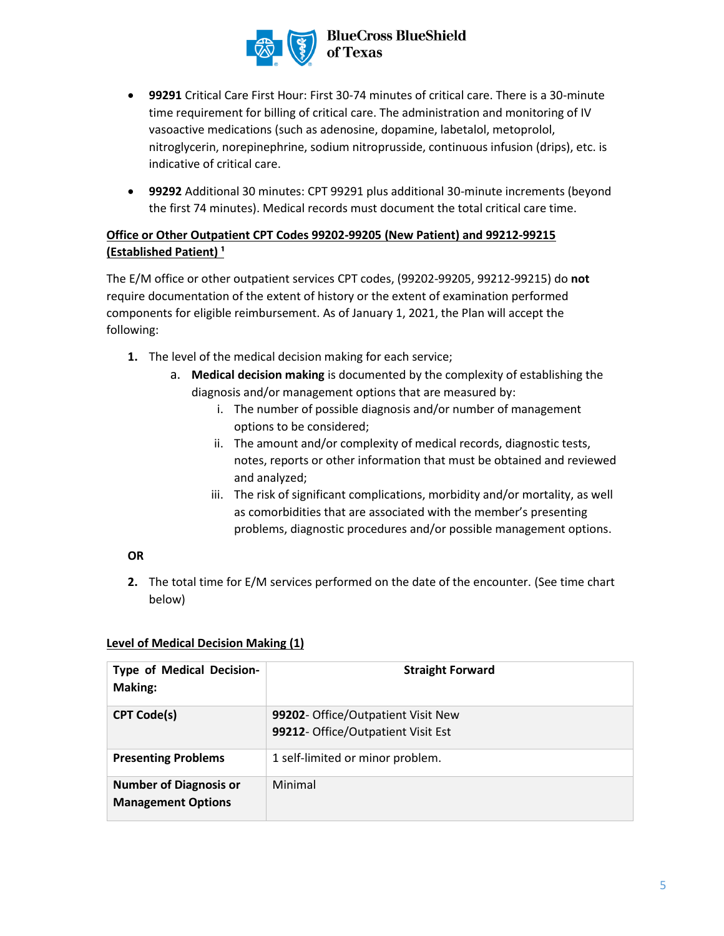

- **99291** Critical Care First Hour: First 30-74 minutes of critical care. There is a 30-minute time requirement for billing of critical care. The administration and monitoring of IV vasoactive medications (such as adenosine, dopamine, labetalol, metoprolol, nitroglycerin, norepinephrine, sodium nitroprusside, continuous infusion (drips), etc. is indicative of critical care.
- **99292** Additional 30 minutes: CPT 99291 plus additional 30-minute increments (beyond the first 74 minutes). Medical records must document the total critical care time.

# **Office or Other Outpatient CPT Codes 99202-99205 (New Patient) and 99212-99215 (Established Patient) ¹**

The E/M office or other outpatient services CPT codes, (99202-99205, 99212-99215) do **not** require documentation of the extent of history or the extent of examination performed components for eligible reimbursement. As of January 1, 2021, the Plan will accept the following:

- **1.** The level of the medical decision making for each service;
	- a. **Medical decision making** is documented by the complexity of establishing the diagnosis and/or management options that are measured by:
		- i. The number of possible diagnosis and/or number of management options to be considered;
		- ii. The amount and/or complexity of medical records, diagnostic tests, notes, reports or other information that must be obtained and reviewed and analyzed;
		- iii. The risk of significant complications, morbidity and/or mortality, as well as comorbidities that are associated with the member's presenting problems, diagnostic procedures and/or possible management options.

## **OR**

**2.** The total time for E/M services performed on the date of the encounter. (See time chart below)

#### **Level of Medical Decision Making (1)**

| <b>Type of Medical Decision-</b><br>Making:                | <b>Straight Forward</b>                                                  |
|------------------------------------------------------------|--------------------------------------------------------------------------|
| <b>CPT Code(s)</b>                                         | 99202- Office/Outpatient Visit New<br>99212- Office/Outpatient Visit Est |
| <b>Presenting Problems</b>                                 | 1 self-limited or minor problem.                                         |
| <b>Number of Diagnosis or</b><br><b>Management Options</b> | Minimal                                                                  |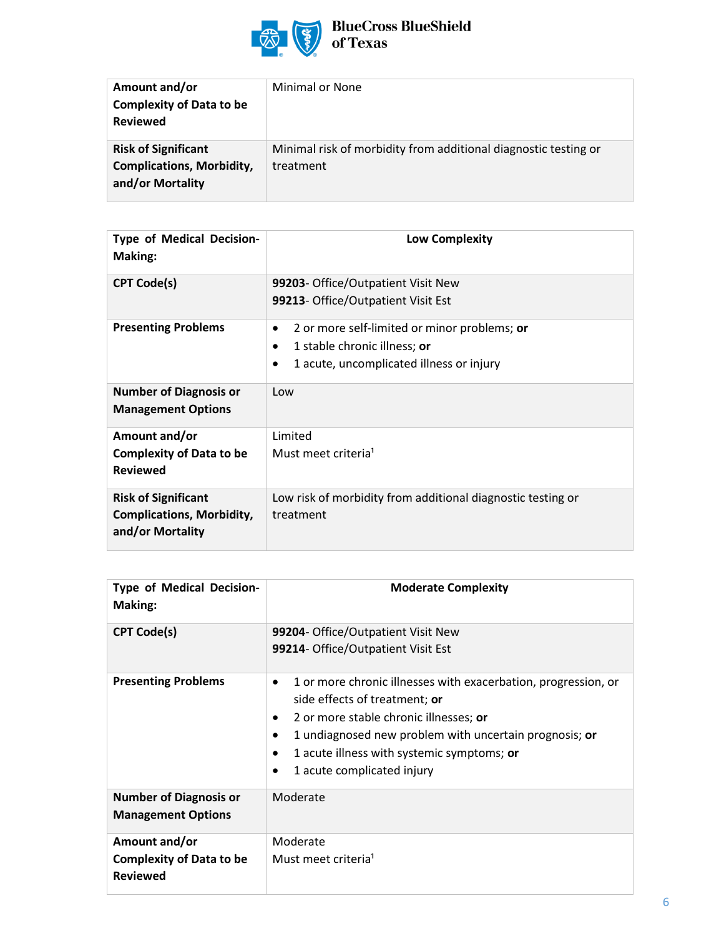

# BlueCross BlueShield<br>of Texas

| Amount and/or<br><b>Complexity of Data to be</b><br><b>Reviewed</b>                | Minimal or None                                                              |
|------------------------------------------------------------------------------------|------------------------------------------------------------------------------|
| <b>Risk of Significant</b><br><b>Complications, Morbidity,</b><br>and/or Mortality | Minimal risk of morbidity from additional diagnostic testing or<br>treatment |

| <b>Type of Medical Decision-</b><br><b>Making:</b>                                 | <b>Low Complexity</b>                                                                                                                   |
|------------------------------------------------------------------------------------|-----------------------------------------------------------------------------------------------------------------------------------------|
| <b>CPT Code(s)</b>                                                                 | 99203- Office/Outpatient Visit New<br>99213- Office/Outpatient Visit Est                                                                |
| <b>Presenting Problems</b>                                                         | 2 or more self-limited or minor problems; or<br>٠<br>1 stable chronic illness; or<br>٠<br>1 acute, uncomplicated illness or injury<br>٠ |
| <b>Number of Diagnosis or</b><br><b>Management Options</b>                         | Low                                                                                                                                     |
| Amount and/or<br><b>Complexity of Data to be</b><br><b>Reviewed</b>                | Limited<br>Must meet criteria <sup>1</sup>                                                                                              |
| <b>Risk of Significant</b><br><b>Complications, Morbidity,</b><br>and/or Mortality | Low risk of morbidity from additional diagnostic testing or<br>treatment                                                                |

| <b>Type of Medical Decision-</b><br>Making:                         | <b>Moderate Complexity</b>                                                                                                                                                                                                                                                                   |
|---------------------------------------------------------------------|----------------------------------------------------------------------------------------------------------------------------------------------------------------------------------------------------------------------------------------------------------------------------------------------|
| <b>CPT Code(s)</b>                                                  | 99204- Office/Outpatient Visit New<br>99214- Office/Outpatient Visit Est                                                                                                                                                                                                                     |
| <b>Presenting Problems</b>                                          | 1 or more chronic illnesses with exacerbation, progression, or<br>$\bullet$<br>side effects of treatment; or<br>2 or more stable chronic illnesses; or<br>1 undiagnosed new problem with uncertain prognosis; or<br>1 acute illness with systemic symptoms; or<br>1 acute complicated injury |
| <b>Number of Diagnosis or</b><br><b>Management Options</b>          | Moderate                                                                                                                                                                                                                                                                                     |
| Amount and/or<br><b>Complexity of Data to be</b><br><b>Reviewed</b> | Moderate<br>Must meet criteria <sup>1</sup>                                                                                                                                                                                                                                                  |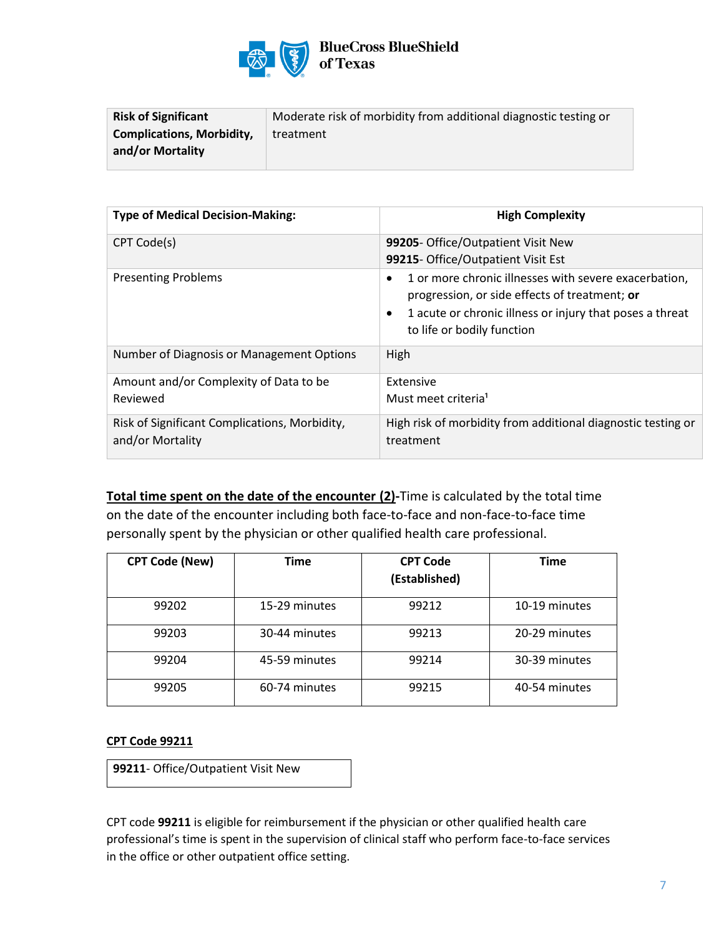

## **BlueCross BlueShield** of Texas

| <b>Risk of Significant</b>       | Moderate risk of morbidity from additional diagnostic testing or |
|----------------------------------|------------------------------------------------------------------|
| <b>Complications, Morbidity,</b> | treatment                                                        |
| and/or Mortality                 |                                                                  |

| <b>Type of Medical Decision-Making:</b>                           | <b>High Complexity</b>                                                                                                                                                                                                     |
|-------------------------------------------------------------------|----------------------------------------------------------------------------------------------------------------------------------------------------------------------------------------------------------------------------|
| CPT Code(s)                                                       | 99205- Office/Outpatient Visit New<br>99215- Office/Outpatient Visit Est                                                                                                                                                   |
| <b>Presenting Problems</b>                                        | 1 or more chronic illnesses with severe exacerbation,<br>$\bullet$<br>progression, or side effects of treatment; or<br>1 acute or chronic illness or injury that poses a threat<br>$\bullet$<br>to life or bodily function |
| Number of Diagnosis or Management Options                         | High                                                                                                                                                                                                                       |
| Amount and/or Complexity of Data to be<br>Reviewed                | Extensive<br>Must meet criteria <sup>1</sup>                                                                                                                                                                               |
| Risk of Significant Complications, Morbidity,<br>and/or Mortality | High risk of morbidity from additional diagnostic testing or<br>treatment                                                                                                                                                  |

**Total time spent on the date of the encounter (2)-**Time is calculated by the total time on the date of the encounter including both face-to-face and non-face-to-face time personally spent by the physician or other qualified health care professional.

| <b>CPT Code (New)</b> | Time          | <b>CPT Code</b><br>(Established) | <b>Time</b>   |
|-----------------------|---------------|----------------------------------|---------------|
| 99202                 | 15-29 minutes | 99212                            | 10-19 minutes |
| 99203                 | 30-44 minutes | 99213                            | 20-29 minutes |
| 99204                 | 45-59 minutes | 99214                            | 30-39 minutes |
| 99205                 | 60-74 minutes | 99215                            | 40-54 minutes |

#### **CPT Code 99211**

**99211**- Office/Outpatient Visit New

CPT code **99211** is eligible for reimbursement if the physician or other qualified health care professional's time is spent in the supervision of clinical staff who perform face-to-face services in the office or other outpatient office setting.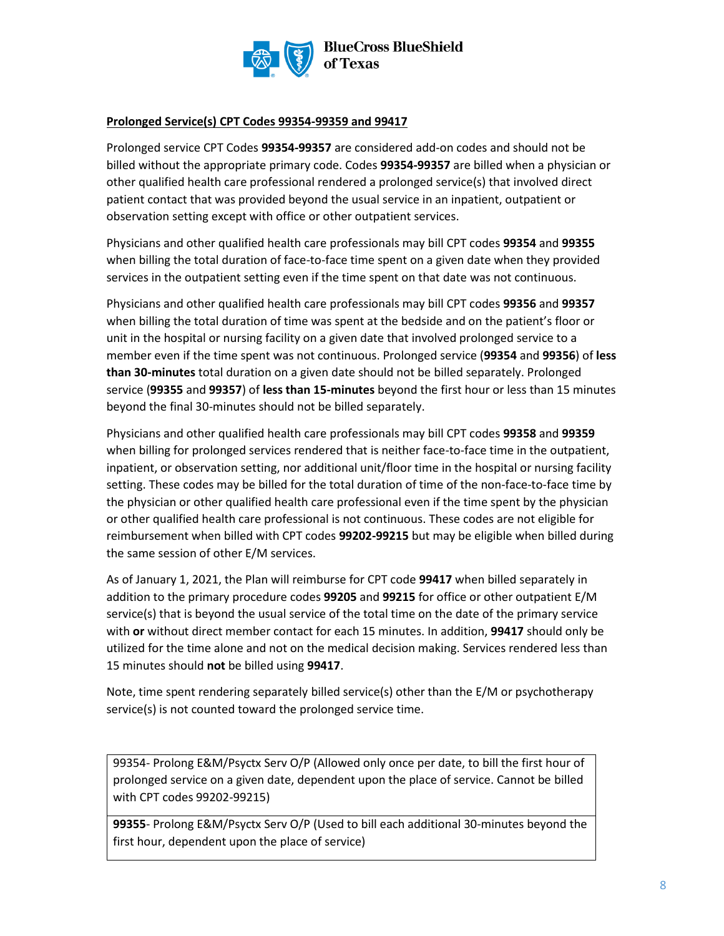

#### **Prolonged Service(s) CPT Codes 99354-99359 and 99417**

Prolonged service CPT Codes **99354-99357** are considered add-on codes and should not be billed without the appropriate primary code. Codes **99354-99357** are billed when a physician or other qualified health care professional rendered a prolonged service(s) that involved direct patient contact that was provided beyond the usual service in an inpatient, outpatient or observation setting except with office or other outpatient services.

Physicians and other qualified health care professionals may bill CPT codes **99354** and **99355**  when billing the total duration of face-to-face time spent on a given date when they provided services in the outpatient setting even if the time spent on that date was not continuous.

Physicians and other qualified health care professionals may bill CPT codes **99356** and **99357** when billing the total duration of time was spent at the bedside and on the patient's floor or unit in the hospital or nursing facility on a given date that involved prolonged service to a member even if the time spent was not continuous. Prolonged service (**99354** and **99356**) of **less than 30-minutes** total duration on a given date should not be billed separately. Prolonged service (**99355** and **99357**) of **less than 15-minutes** beyond the first hour or less than 15 minutes beyond the final 30-minutes should not be billed separately.

Physicians and other qualified health care professionals may bill CPT codes **99358** and **99359** when billing for prolonged services rendered that is neither face-to-face time in the outpatient, inpatient, or observation setting, nor additional unit/floor time in the hospital or nursing facility setting. These codes may be billed for the total duration of time of the non-face-to-face time by the physician or other qualified health care professional even if the time spent by the physician or other qualified health care professional is not continuous. These codes are not eligible for reimbursement when billed with CPT codes **99202-99215** but may be eligible when billed during the same session of other E/M services.

As of January 1, 2021, the Plan will reimburse for CPT code **99417** when billed separately in addition to the primary procedure codes **99205** and **99215** for office or other outpatient E/M service(s) that is beyond the usual service of the total time on the date of the primary service with **or** without direct member contact for each 15 minutes. In addition, **99417** should only be utilized for the time alone and not on the medical decision making. Services rendered less than 15 minutes should **not** be billed using **99417**.

Note, time spent rendering separately billed service(s) other than the E/M or psychotherapy service(s) is not counted toward the prolonged service time.

99354- Prolong E&M/Psyctx Serv O/P (Allowed only once per date, to bill the first hour of prolonged service on a given date, dependent upon the place of service. Cannot be billed with CPT codes 99202-99215)

**99355**- Prolong E&M/Psyctx Serv O/P (Used to bill each additional 30-minutes beyond the first hour, dependent upon the place of service)